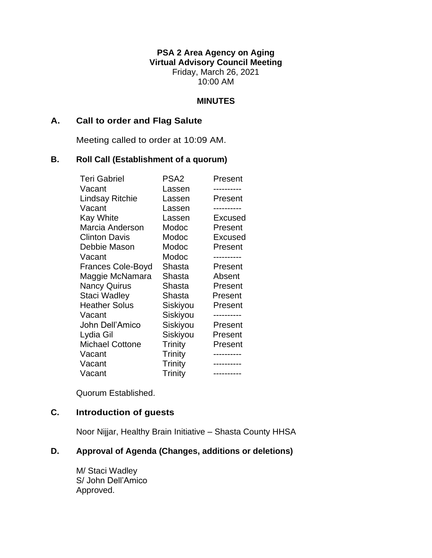**PSA 2 Area Agency on Aging Virtual Advisory Council Meeting** Friday, March 26, 2021 10:00 AM

#### **MINUTES**

## **A. Call to order and Flag Salute**

Meeting called to order at 10:09 AM.

#### **B. Roll Call (Establishment of a quorum)**

| <b>Teri Gabriel</b>      | PSA2           | Present        |
|--------------------------|----------------|----------------|
| Vacant                   | Lassen         |                |
| Lindsay Ritchie          | Lassen         | Present        |
| Vacant                   | Lassen         |                |
| <b>Kay White</b>         | Lassen         | <b>Excused</b> |
| Marcia Anderson          | Modoc          | Present        |
| <b>Clinton Davis</b>     | Modoc          | Excused        |
| Debbie Mason             | Modoc          | Present        |
| Vacant                   | Modoc          |                |
| <b>Frances Cole-Boyd</b> | Shasta         | Present        |
| Maggie McNamara          | Shasta         | Absent         |
| <b>Nancy Quirus</b>      | Shasta         | Present        |
| Staci Wadley             | Shasta         | Present        |
| <b>Heather Solus</b>     | Siskiyou       | Present        |
| Vacant                   | Siskiyou       |                |
| John Dell'Amico          | Siskiyou       | Present        |
| Lydia Gil                | Siskiyou       | Present        |
| <b>Michael Cottone</b>   | Trinity        | Present        |
| Vacant                   | <b>Trinity</b> |                |
| Vacant                   | <b>Trinity</b> |                |
| Vacant                   | Trinity        | ----------     |

Quorum Established.

# **C. Introduction of guests**

Noor Nijjar, Healthy Brain Initiative – Shasta County HHSA

# **D. Approval of Agenda (Changes, additions or deletions)**

M/ Staci Wadley S/ John Dell'Amico Approved.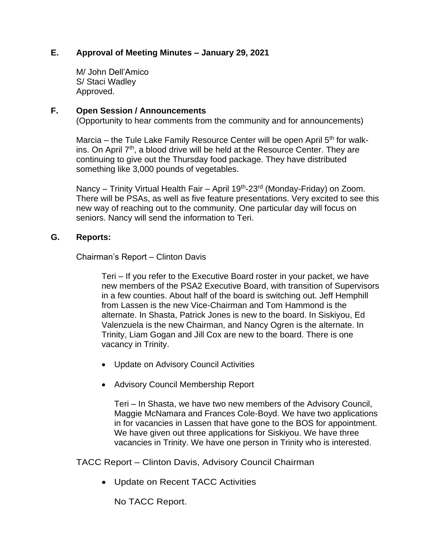## **E. Approval of Meeting Minutes – January 29, 2021**

M/ John Dell'Amico S/ Staci Wadley Approved.

## **F. Open Session / Announcements**

(Opportunity to hear comments from the community and for announcements)

Marcia – the Tule Lake Family Resource Center will be open April  $5<sup>th</sup>$  for walkins. On April  $7<sup>th</sup>$ , a blood drive will be held at the Resource Center. They are continuing to give out the Thursday food package. They have distributed something like 3,000 pounds of vegetables.

Nancy – Trinity Virtual Health Fair – April 19<sup>th</sup>-23<sup>rd</sup> (Monday-Friday) on Zoom. There will be PSAs, as well as five feature presentations. Very excited to see this new way of reaching out to the community. One particular day will focus on seniors. Nancy will send the information to Teri.

#### **G. Reports:**

Chairman's Report – Clinton Davis

Teri – If you refer to the Executive Board roster in your packet, we have new members of the PSA2 Executive Board, with transition of Supervisors in a few counties. About half of the board is switching out. Jeff Hemphill from Lassen is the new Vice-Chairman and Tom Hammond is the alternate. In Shasta, Patrick Jones is new to the board. In Siskiyou, Ed Valenzuela is the new Chairman, and Nancy Ogren is the alternate. In Trinity, Liam Gogan and Jill Cox are new to the board. There is one vacancy in Trinity.

- Update on Advisory Council Activities
- Advisory Council Membership Report

Teri – In Shasta, we have two new members of the Advisory Council, Maggie McNamara and Frances Cole-Boyd. We have two applications in for vacancies in Lassen that have gone to the BOS for appointment. We have given out three applications for Siskiyou. We have three vacancies in Trinity. We have one person in Trinity who is interested.

TACC Report – Clinton Davis, Advisory Council Chairman

• Update on Recent TACC Activities

No TACC Report.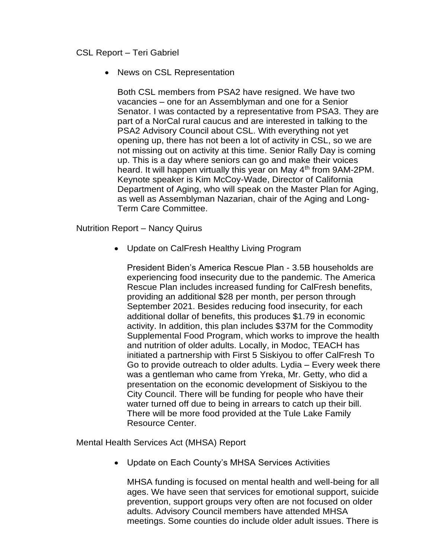## CSL Report – Teri Gabriel

#### • News on CSL Representation

Both CSL members from PSA2 have resigned. We have two vacancies – one for an Assemblyman and one for a Senior Senator. I was contacted by a representative from PSA3. They are part of a NorCal rural caucus and are interested in talking to the PSA2 Advisory Council about CSL. With everything not yet opening up, there has not been a lot of activity in CSL, so we are not missing out on activity at this time. Senior Rally Day is coming up. This is a day where seniors can go and make their voices heard. It will happen virtually this year on May 4<sup>th</sup> from 9AM-2PM. Keynote speaker is Kim McCoy-Wade, Director of California Department of Aging, who will speak on the Master Plan for Aging, as well as Assemblyman Nazarian, chair of the Aging and Long-Term Care Committee.

Nutrition Report – Nancy Quirus

• Update on CalFresh Healthy Living Program

President Biden's America Rescue Plan - 3.5B households are experiencing food insecurity due to the pandemic. The America Rescue Plan includes increased funding for CalFresh benefits, providing an additional \$28 per month, per person through September 2021. Besides reducing food insecurity, for each additional dollar of benefits, this produces \$1.79 in economic activity. In addition, this plan includes \$37M for the Commodity Supplemental Food Program, which works to improve the health and nutrition of older adults. Locally, in Modoc, TEACH has initiated a partnership with First 5 Siskiyou to offer CalFresh To Go to provide outreach to older adults. Lydia – Every week there was a gentleman who came from Yreka, Mr. Getty, who did a presentation on the economic development of Siskiyou to the City Council. There will be funding for people who have their water turned off due to being in arrears to catch up their bill. There will be more food provided at the Tule Lake Family Resource Center.

Mental Health Services Act (MHSA) Report

• Update on Each County's MHSA Services Activities

MHSA funding is focused on mental health and well-being for all ages. We have seen that services for emotional support, suicide prevention, support groups very often are not focused on older adults. Advisory Council members have attended MHSA meetings. Some counties do include older adult issues. There is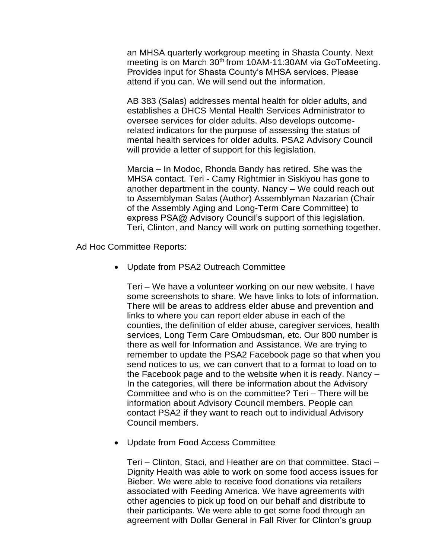an MHSA quarterly workgroup meeting in Shasta County. Next meeting is on March 30<sup>th</sup> from 10AM-11:30AM via GoToMeeting. Provides input for Shasta County's MHSA services. Please attend if you can. We will send out the information.

AB 383 (Salas) addresses mental health for older adults, and establishes a DHCS Mental Health Services Administrator to oversee services for older adults. Also develops outcomerelated indicators for the purpose of assessing the status of mental health services for older adults. PSA2 Advisory Council will provide a letter of support for this legislation.

Marcia – In Modoc, Rhonda Bandy has retired. She was the MHSA contact. Teri - Camy Rightmier in Siskiyou has gone to another department in the county. Nancy – We could reach out to Assemblyman Salas (Author) Assemblyman Nazarian (Chair of the Assembly Aging and Long-Term Care Committee) to express PSA@ Advisory Council's support of this legislation. Teri, Clinton, and Nancy will work on putting something together.

Ad Hoc Committee Reports:

• Update from PSA2 Outreach Committee

Teri – We have a volunteer working on our new website. I have some screenshots to share. We have links to lots of information. There will be areas to address elder abuse and prevention and links to where you can report elder abuse in each of the counties, the definition of elder abuse, caregiver services, health services, Long Term Care Ombudsman, etc. Our 800 number is there as well for Information and Assistance. We are trying to remember to update the PSA2 Facebook page so that when you send notices to us, we can convert that to a format to load on to the Facebook page and to the website when it is ready. Nancy – In the categories, will there be information about the Advisory Committee and who is on the committee? Teri – There will be information about Advisory Council members. People can contact PSA2 if they want to reach out to individual Advisory Council members.

• Update from Food Access Committee

Teri – Clinton, Staci, and Heather are on that committee. Staci – Dignity Health was able to work on some food access issues for Bieber. We were able to receive food donations via retailers associated with Feeding America. We have agreements with other agencies to pick up food on our behalf and distribute to their participants. We were able to get some food through an agreement with Dollar General in Fall River for Clinton's group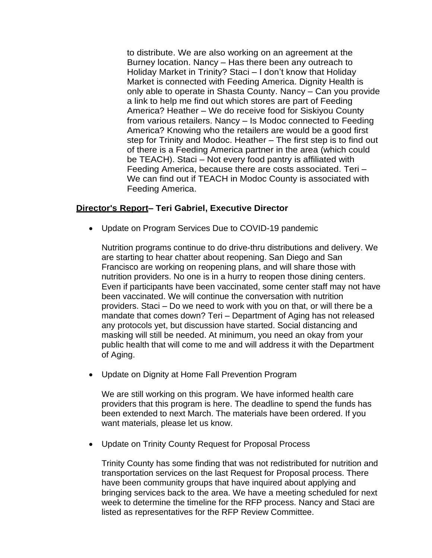to distribute. We are also working on an agreement at the Burney location. Nancy – Has there been any outreach to Holiday Market in Trinity? Staci – I don't know that Holiday Market is connected with Feeding America. Dignity Health is only able to operate in Shasta County. Nancy – Can you provide a link to help me find out which stores are part of Feeding America? Heather – We do receive food for Siskiyou County from various retailers. Nancy – Is Modoc connected to Feeding America? Knowing who the retailers are would be a good first step for Trinity and Modoc. Heather – The first step is to find out of there is a Feeding America partner in the area (which could be TEACH). Staci – Not every food pantry is affiliated with Feeding America, because there are costs associated. Teri – We can find out if TEACH in Modoc County is associated with Feeding America.

## **Director's Report– Teri Gabriel, Executive Director**

• Update on Program Services Due to COVID-19 pandemic

Nutrition programs continue to do drive-thru distributions and delivery. We are starting to hear chatter about reopening. San Diego and San Francisco are working on reopening plans, and will share those with nutrition providers. No one is in a hurry to reopen those dining centers. Even if participants have been vaccinated, some center staff may not have been vaccinated. We will continue the conversation with nutrition providers. Staci – Do we need to work with you on that, or will there be a mandate that comes down? Teri – Department of Aging has not released any protocols yet, but discussion have started. Social distancing and masking will still be needed. At minimum, you need an okay from your public health that will come to me and will address it with the Department of Aging.

• Update on Dignity at Home Fall Prevention Program

We are still working on this program. We have informed health care providers that this program is here. The deadline to spend the funds has been extended to next March. The materials have been ordered. If you want materials, please let us know.

• Update on Trinity County Request for Proposal Process

Trinity County has some finding that was not redistributed for nutrition and transportation services on the last Request for Proposal process. There have been community groups that have inquired about applying and bringing services back to the area. We have a meeting scheduled for next week to determine the timeline for the RFP process. Nancy and Staci are listed as representatives for the RFP Review Committee.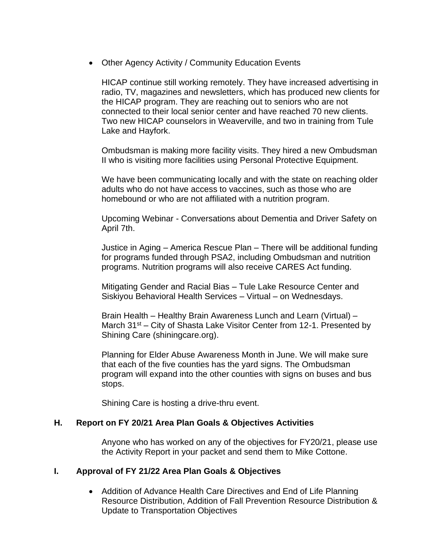• Other Agency Activity / Community Education Events

HICAP continue still working remotely. They have increased advertising in radio, TV, magazines and newsletters, which has produced new clients for the HICAP program. They are reaching out to seniors who are not connected to their local senior center and have reached 70 new clients. Two new HICAP counselors in Weaverville, and two in training from Tule Lake and Hayfork.

Ombudsman is making more facility visits. They hired a new Ombudsman II who is visiting more facilities using Personal Protective Equipment.

We have been communicating locally and with the state on reaching older adults who do not have access to vaccines, such as those who are homebound or who are not affiliated with a nutrition program.

Upcoming Webinar - Conversations about Dementia and Driver Safety on April 7th.

Justice in Aging – America Rescue Plan – There will be additional funding for programs funded through PSA2, including Ombudsman and nutrition programs. Nutrition programs will also receive CARES Act funding.

Mitigating Gender and Racial Bias – Tule Lake Resource Center and Siskiyou Behavioral Health Services – Virtual – on Wednesdays.

Brain Health – Healthy Brain Awareness Lunch and Learn (Virtual) – March  $31^{st}$  – City of Shasta Lake Visitor Center from 12-1. Presented by Shining Care (shiningcare.org).

Planning for Elder Abuse Awareness Month in June. We will make sure that each of the five counties has the yard signs. The Ombudsman program will expand into the other counties with signs on buses and bus stops.

Shining Care is hosting a drive-thru event.

## **H. Report on FY 20/21 Area Plan Goals & Objectives Activities**

Anyone who has worked on any of the objectives for FY20/21, please use the Activity Report in your packet and send them to Mike Cottone.

## **I. Approval of FY 21/22 Area Plan Goals & Objectives**

• Addition of Advance Health Care Directives and End of Life Planning Resource Distribution, Addition of Fall Prevention Resource Distribution & Update to Transportation Objectives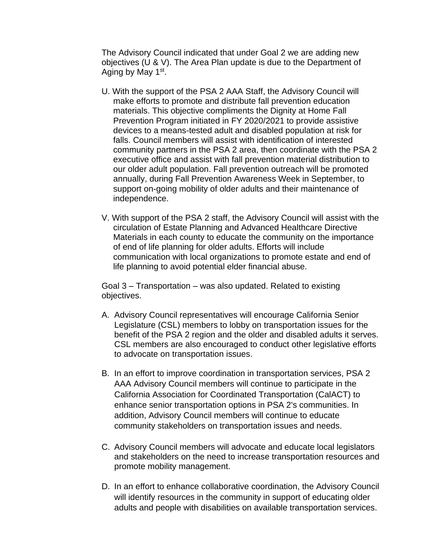The Advisory Council indicated that under Goal 2 we are adding new objectives (U & V). The Area Plan update is due to the Department of Aging by May 1<sup>st</sup>.

- U. With the support of the PSA 2 AAA Staff, the Advisory Council will make efforts to promote and distribute fall prevention education materials. This objective compliments the Dignity at Home Fall Prevention Program initiated in FY 2020/2021 to provide assistive devices to a means-tested adult and disabled population at risk for falls. Council members will assist with identification of interested community partners in the PSA 2 area, then coordinate with the PSA 2 executive office and assist with fall prevention material distribution to our older adult population. Fall prevention outreach will be promoted annually, during Fall Prevention Awareness Week in September, to support on-going mobility of older adults and their maintenance of independence.
- V. With support of the PSA 2 staff, the Advisory Council will assist with the circulation of Estate Planning and Advanced Healthcare Directive Materials in each county to educate the community on the importance of end of life planning for older adults. Efforts will include communication with local organizations to promote estate and end of life planning to avoid potential elder financial abuse.

Goal 3 – Transportation – was also updated. Related to existing objectives.

- A. Advisory Council representatives will encourage California Senior Legislature (CSL) members to lobby on transportation issues for the benefit of the PSA 2 region and the older and disabled adults it serves. CSL members are also encouraged to conduct other legislative efforts to advocate on transportation issues.
- B. In an effort to improve coordination in transportation services, PSA 2 AAA Advisory Council members will continue to participate in the California Association for Coordinated Transportation (CalACT) to enhance senior transportation options in PSA 2's communities. In addition, Advisory Council members will continue to educate community stakeholders on transportation issues and needs.
- C. Advisory Council members will advocate and educate local legislators and stakeholders on the need to increase transportation resources and promote mobility management.
- D. In an effort to enhance collaborative coordination, the Advisory Council will identify resources in the community in support of educating older adults and people with disabilities on available transportation services.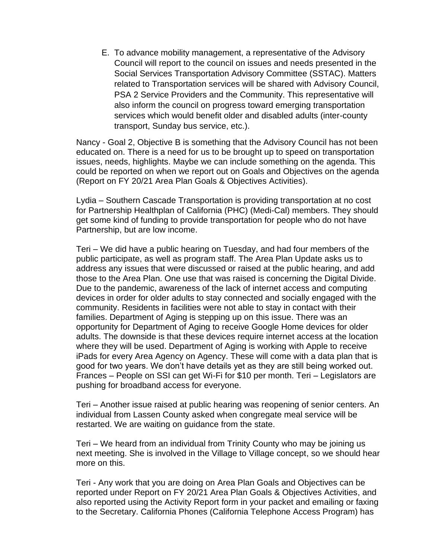E. To advance mobility management, a representative of the Advisory Council will report to the council on issues and needs presented in the Social Services Transportation Advisory Committee (SSTAC). Matters related to Transportation services will be shared with Advisory Council, PSA 2 Service Providers and the Community. This representative will also inform the council on progress toward emerging transportation services which would benefit older and disabled adults (inter-county transport, Sunday bus service, etc.).

Nancy - Goal 2, Objective B is something that the Advisory Council has not been educated on. There is a need for us to be brought up to speed on transportation issues, needs, highlights. Maybe we can include something on the agenda. This could be reported on when we report out on Goals and Objectives on the agenda (Report on FY 20/21 Area Plan Goals & Objectives Activities).

Lydia – Southern Cascade Transportation is providing transportation at no cost for Partnership Healthplan of California (PHC) (Medi-Cal) members. They should get some kind of funding to provide transportation for people who do not have Partnership, but are low income.

Teri – We did have a public hearing on Tuesday, and had four members of the public participate, as well as program staff. The Area Plan Update asks us to address any issues that were discussed or raised at the public hearing, and add those to the Area Plan. One use that was raised is concerning the Digital Divide. Due to the pandemic, awareness of the lack of internet access and computing devices in order for older adults to stay connected and socially engaged with the community. Residents in facilities were not able to stay in contact with their families. Department of Aging is stepping up on this issue. There was an opportunity for Department of Aging to receive Google Home devices for older adults. The downside is that these devices require internet access at the location where they will be used. Department of Aging is working with Apple to receive iPads for every Area Agency on Agency. These will come with a data plan that is good for two years. We don't have details yet as they are still being worked out. Frances – People on SSI can get Wi-Fi for \$10 per month. Teri – Legislators are pushing for broadband access for everyone.

Teri – Another issue raised at public hearing was reopening of senior centers. An individual from Lassen County asked when congregate meal service will be restarted. We are waiting on guidance from the state.

Teri – We heard from an individual from Trinity County who may be joining us next meeting. She is involved in the Village to Village concept, so we should hear more on this.

Teri - Any work that you are doing on Area Plan Goals and Objectives can be reported under Report on FY 20/21 Area Plan Goals & Objectives Activities, and also reported using the Activity Report form in your packet and emailing or faxing to the Secretary. California Phones (California Telephone Access Program) has